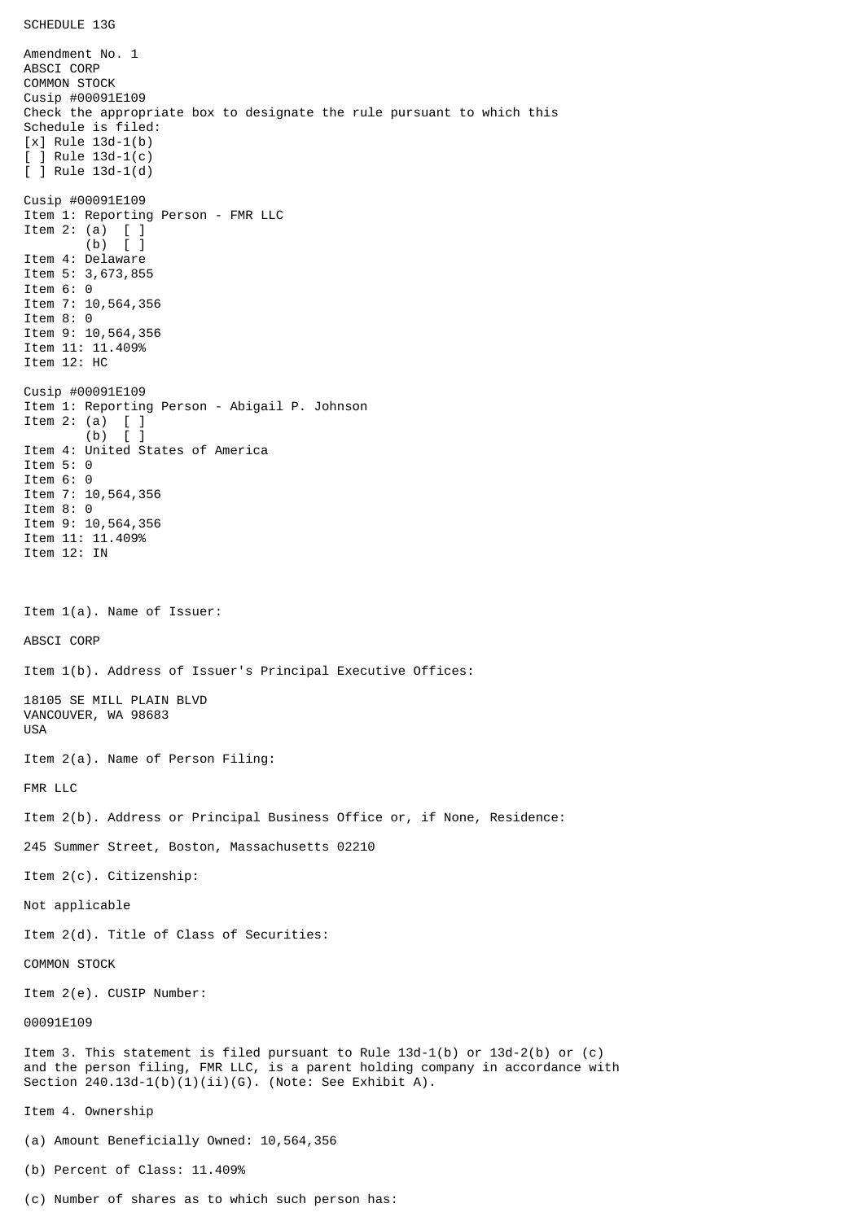Amendment No. 1 ABSCI CORP COMMON STOCK Cusip #00091E109 Check the appropriate box to designate the rule pursuant to which this Schedule is filed: [x] Rule 13d-1(b) [ ] Rule 13d-1(c) [ ] Rule 13d-1(d) Cusip #00091E109 Item 1: Reporting Person - FMR LLC Item 2: (a) [ ] (b) [ ] Item 4: Delaware Item 5: 3,673,855 Item 6: 0 Item 7: 10,564,356 Item 8: 0 Item 9: 10,564,356 Item 11: 11.409% Item 12: HC Cusip #00091E109 Item 1: Reporting Person - Abigail P. Johnson Item 2: (a)  $[$  ]<br>(b)  $[$  ]  $(b)$ Item 4: United States of America Item 5: 0 Item 6: 0 Item 7: 10,564,356 Item 8: 0 Item 9: 10,564,356 Item 11: 11.409% Item 12: IN Item 1(a). Name of Issuer: ABSCI CORP Item 1(b). Address of Issuer's Principal Executive Offices: 18105 SE MILL PLAIN BLVD VANCOUVER, WA 98683 USA Item 2(a). Name of Person Filing: FMR LLC Item 2(b). Address or Principal Business Office or, if None, Residence: 245 Summer Street, Boston, Massachusetts 02210 Item 2(c). Citizenship: Not applicable Item 2(d). Title of Class of Securities: COMMON STOCK Item 2(e). CUSIP Number: 00091E109 Item 3. This statement is filed pursuant to Rule 13d-1(b) or 13d-2(b) or (c) and the person filing, FMR LLC, is a parent holding company in accordance with Section  $240.13d-1(b)(1)(ii)(G)$ . (Note: See Exhibit A). Item 4. Ownership (a) Amount Beneficially Owned: 10,564,356 (b) Percent of Class: 11.409%

(c) Number of shares as to which such person has: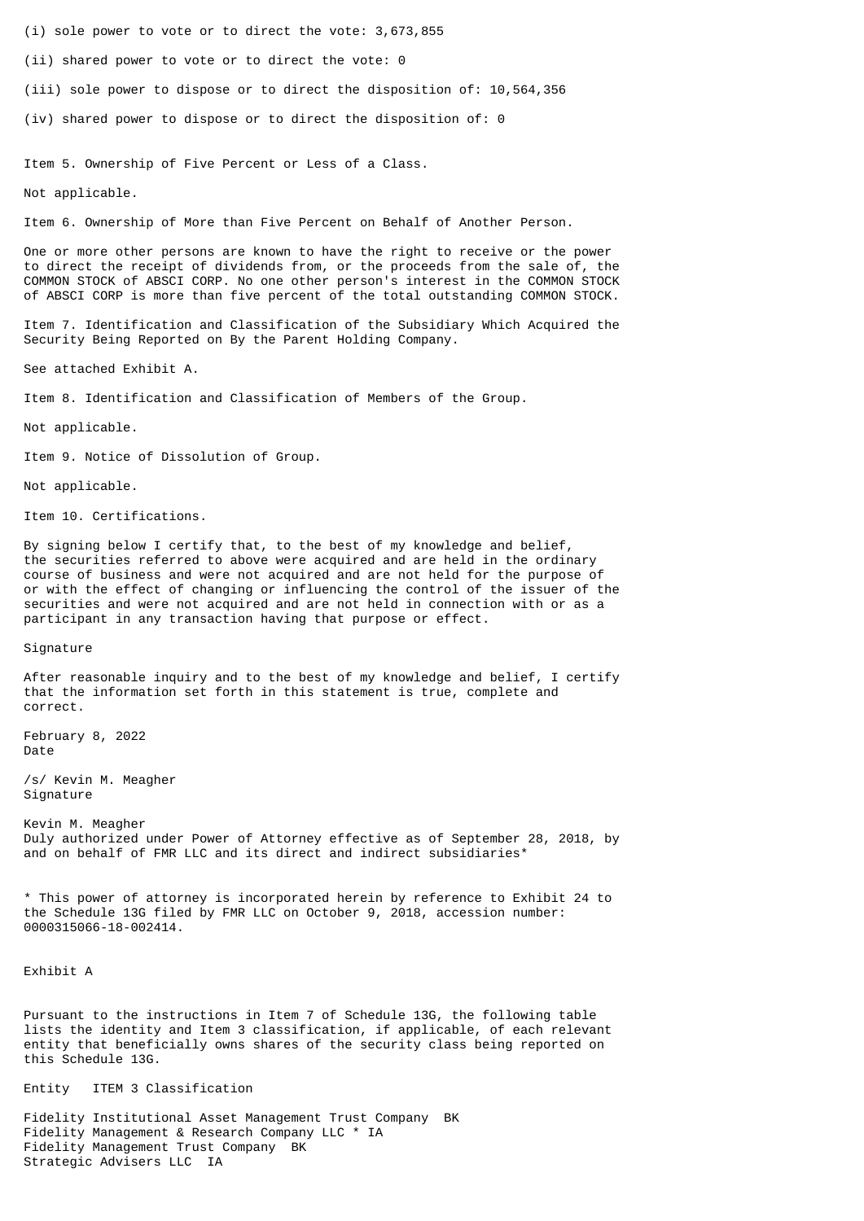- (i) sole power to vote or to direct the vote: 3,673,855
- (ii) shared power to vote or to direct the vote: 0
- (iii) sole power to dispose or to direct the disposition of: 10,564,356
- (iv) shared power to dispose or to direct the disposition of: 0

Item 5. Ownership of Five Percent or Less of a Class.

Not applicable.

Item 6. Ownership of More than Five Percent on Behalf of Another Person.

One or more other persons are known to have the right to receive or the power to direct the receipt of dividends from, or the proceeds from the sale of, the COMMON STOCK of ABSCI CORP. No one other person's interest in the COMMON STOCK of ABSCI CORP is more than five percent of the total outstanding COMMON STOCK.

Item 7. Identification and Classification of the Subsidiary Which Acquired the Security Being Reported on By the Parent Holding Company.

See attached Exhibit A.

Item 8. Identification and Classification of Members of the Group.

Not applicable.

Item 9. Notice of Dissolution of Group.

Not applicable.

Item 10. Certifications.

By signing below I certify that, to the best of my knowledge and belief, the securities referred to above were acquired and are held in the ordinary course of business and were not acquired and are not held for the purpose of or with the effect of changing or influencing the control of the issuer of the securities and were not acquired and are not held in connection with or as a participant in any transaction having that purpose or effect.

Signature

After reasonable inquiry and to the best of my knowledge and belief, I certify that the information set forth in this statement is true, complete and correct.

February 8, 2022 Date

/s/ Kevin M. Meagher Signature

Kevin M. Meagher Duly authorized under Power of Attorney effective as of September 28, 2018, by and on behalf of FMR LLC and its direct and indirect subsidiaries<sup>\*</sup>

\* This power of attorney is incorporated herein by reference to Exhibit 24 to the Schedule 13G filed by FMR LLC on October 9, 2018, accession number: 0000315066-18-002414.

Exhibit A

Pursuant to the instructions in Item 7 of Schedule 13G, the following table lists the identity and Item 3 classification, if applicable, of each relevant entity that beneficially owns shares of the security class being reported on this Schedule 13G.

Entity ITEM 3 Classification

Fidelity Institutional Asset Management Trust Company BK Fidelity Management & Research Company LLC \* IA Fidelity Management Trust Company BK Strategic Advisers LLC IA